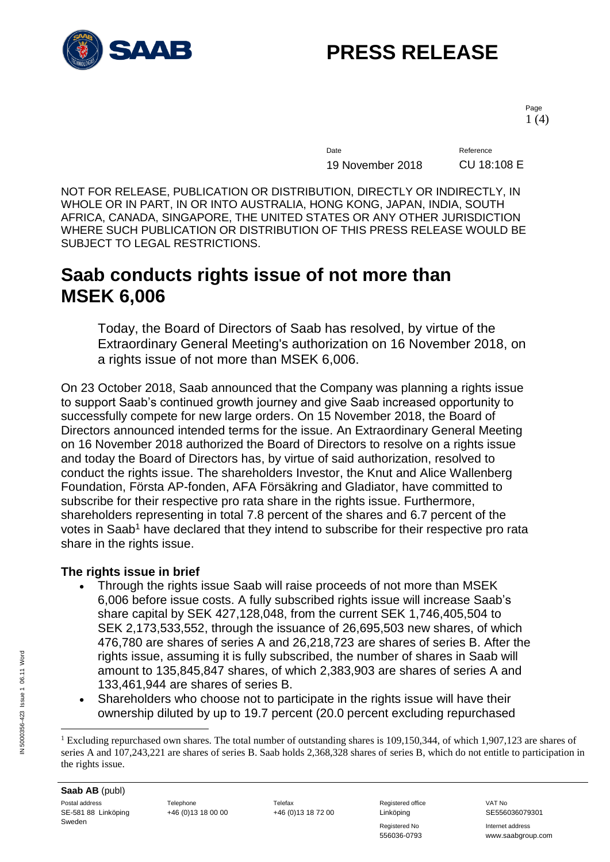

Page 1 (4)

Date Reference 19 November 2018 CU 18:108 E

NOT FOR RELEASE, PUBLICATION OR DISTRIBUTION, DIRECTLY OR INDIRECTLY, IN WHOLE OR IN PART, IN OR INTO AUSTRALIA, HONG KONG, JAPAN, INDIA, SOUTH AFRICA, CANADA, SINGAPORE, THE UNITED STATES OR ANY OTHER JURISDICTION WHERE SUCH PUBLICATION OR DISTRIBUTION OF THIS PRESS RELEASE WOULD BE SUBJECT TO LEGAL RESTRICTIONS.

### **Saab conducts rights issue of not more than MSEK 6,006**

Today, the Board of Directors of Saab has resolved, by virtue of the Extraordinary General Meeting's authorization on 16 November 2018, on a rights issue of not more than MSEK 6,006.

On 23 October 2018, Saab announced that the Company was planning a rights issue to support Saab's continued growth journey and give Saab increased opportunity to successfully compete for new large orders. On 15 November 2018, the Board of Directors announced intended terms for the issue. An Extraordinary General Meeting on 16 November 2018 authorized the Board of Directors to resolve on a rights issue and today the Board of Directors has, by virtue of said authorization, resolved to conduct the rights issue. The shareholders Investor, the Knut and Alice Wallenberg Foundation, Första AP-fonden, AFA Försäkring and Gladiator, have committed to subscribe for their respective pro rata share in the rights issue. Furthermore, shareholders representing in total 7.8 percent of the shares and 6.7 percent of the votes in Saab<sup>1</sup> have declared that they intend to subscribe for their respective pro rata share in the rights issue.

### **The rights issue in brief**

- Through the rights issue Saab will raise proceeds of not more than MSEK 6,006 before issue costs. A fully subscribed rights issue will increase Saab's share capital by SEK 427,128,048, from the current SEK 1,746,405,504 to SEK 2,173,533,552, through the issuance of 26,695,503 new shares, of which 476,780 are shares of series A and 26,218,723 are shares of series B. After the rights issue, assuming it is fully subscribed, the number of shares in Saab will amount to 135,845,847 shares, of which 2,383,903 are shares of series A and 133,461,944 are shares of series B.
- Shareholders who choose not to participate in the rights issue will have their ownership diluted by up to 19.7 percent (20.0 percent excluding repurchased

Registered No **Internet address** 556036-0793 www.saabgroup.com

 $\overline{a}$ 

<sup>&</sup>lt;sup>1</sup> Excluding repurchased own shares. The total number of outstanding shares is  $109,150,344$ , of which 1,907,123 are shares of series A and 107,243,221 are shares of series B. Saab holds 2,368,328 shares of series B, which do not entitle to participation in the rights issue.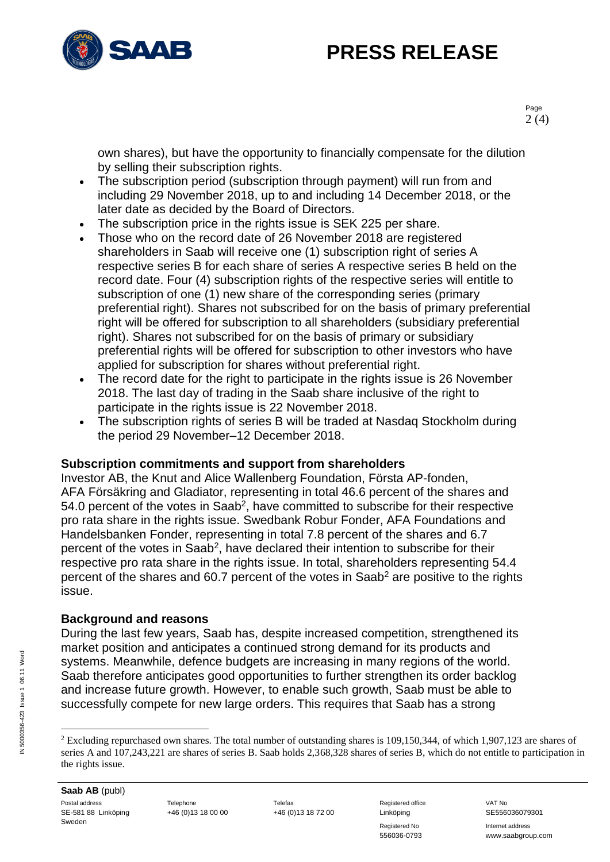

Page 2 (4)

own shares), but have the opportunity to financially compensate for the dilution by selling their subscription rights.

- The subscription period (subscription through payment) will run from and including 29 November 2018, up to and including 14 December 2018, or the later date as decided by the Board of Directors.
- The subscription price in the rights issue is SEK 225 per share.
- Those who on the record date of 26 November 2018 are registered shareholders in Saab will receive one (1) subscription right of series A respective series B for each share of series A respective series B held on the record date. Four (4) subscription rights of the respective series will entitle to subscription of one (1) new share of the corresponding series (primary preferential right). Shares not subscribed for on the basis of primary preferential right will be offered for subscription to all shareholders (subsidiary preferential right). Shares not subscribed for on the basis of primary or subsidiary preferential rights will be offered for subscription to other investors who have applied for subscription for shares without preferential right.
- The record date for the right to participate in the rights issue is 26 November 2018. The last day of trading in the Saab share inclusive of the right to participate in the rights issue is 22 November 2018.
- The subscription rights of series B will be traded at Nasdaq Stockholm during the period 29 November–12 December 2018.

### **Subscription commitments and support from shareholders**

Investor AB, the Knut and Alice Wallenberg Foundation, Första AP-fonden, AFA Försäkring and Gladiator, representing in total 46.6 percent of the shares and 54.0 percent of the votes in Saab<sup>2</sup>, have committed to subscribe for their respective pro rata share in the rights issue. Swedbank Robur Fonder, AFA Foundations and Handelsbanken Fonder, representing in total 7.8 percent of the shares and 6.7 percent of the votes in Saab<sup>2</sup>, have declared their intention to subscribe for their respective pro rata share in the rights issue. In total, shareholders representing 54.4 percent of the shares and 60.7 percent of the votes in Saab<sup>2</sup> are positive to the rights issue.

### **Background and reasons**

During the last few years, Saab has, despite increased competition, strengthened its market position and anticipates a continued strong demand for its products and systems. Meanwhile, defence budgets are increasing in many regions of the world. Saab therefore anticipates good opportunities to further strengthen its order backlog and increase future growth. However, to enable such growth, Saab must be able to successfully compete for new large orders. This requires that Saab has a strong

Registered No **Internet address** 556036-0793 www.saabgroup.com

 $\overline{a}$ <sup>2</sup> Excluding repurchased own shares. The total number of outstanding shares is  $109,150,344$ , of which  $1,907,123$  are shares of series A and 107,243,221 are shares of series B. Saab holds 2,368,328 shares of series B, which do not entitle to participation in the rights issue.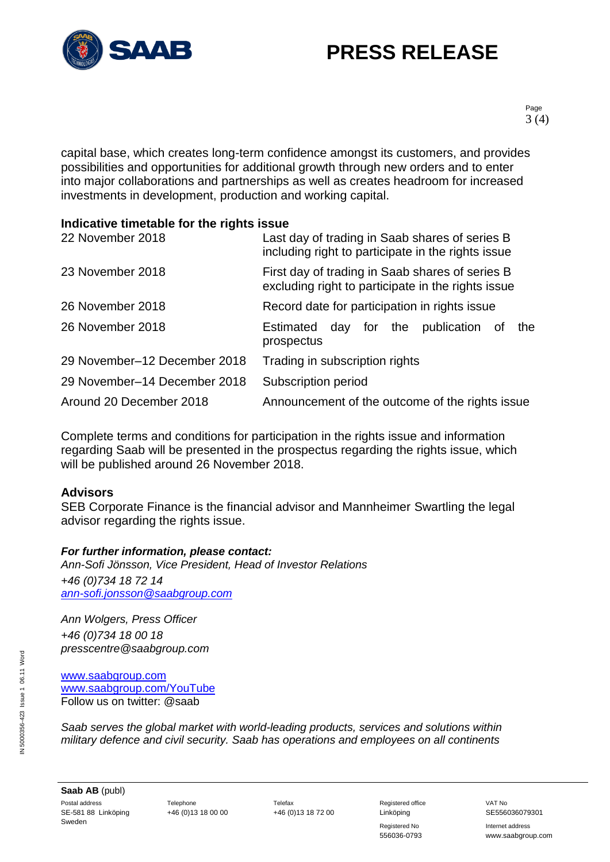

Page 3 (4)

capital base, which creates long-term confidence amongst its customers, and provides possibilities and opportunities for additional growth through new orders and to enter into major collaborations and partnerships as well as creates headroom for increased investments in development, production and working capital.

### **Indicative timetable for the rights issue**

| 22 November 2018             | Last day of trading in Saab shares of series B<br>including right to participate in the rights issue  |
|------------------------------|-------------------------------------------------------------------------------------------------------|
| 23 November 2018             | First day of trading in Saab shares of series B<br>excluding right to participate in the rights issue |
| 26 November 2018             | Record date for participation in rights issue                                                         |
| 26 November 2018             | day for the<br>publication<br>Estimated<br>the<br>of<br>prospectus                                    |
| 29 November-12 December 2018 | Trading in subscription rights                                                                        |
| 29 November-14 December 2018 | Subscription period                                                                                   |
| Around 20 December 2018      | Announcement of the outcome of the rights issue                                                       |

Complete terms and conditions for participation in the rights issue and information regarding Saab will be presented in the prospectus regarding the rights issue, which will be published around 26 November 2018.

### **Advisors**

SEB Corporate Finance is the financial advisor and Mannheimer Swartling the legal advisor regarding the rights issue.

#### *For further information, please contact:*

*Ann-Sofi Jönsson, Vice President, Head of Investor Relations +46 (0)734 18 72 14 [ann-sofi.jonsson@saabgroup.com](mailto:ann-sofi.jonsson@saabgroup.com)*

*Ann Wolgers, Press Officer +46 (0)734 18 00 18 presscentre@saabgroup.com*

[www.saabgroup.com](http://www.saabgroup.com/) [www.saabgroup.com/YouTube](http://www.saabgroup.com/YouTube) Follow us on twitter: @saab

*Saab serves the global market with world-leading products, services and solutions within military defence and civil security. Saab has operations and employees on all continents* 

**Saab AB** (publ) Postal address **Telephone** Telephone Telefax Telefax Registered office VAT No SE-581 88 Linköping Sweden

+46 (0)13 18 00 00 +46 (0)13 18 72 00 Linköping SE556036079301

Registered No **Internet address** 556036-0793 www.saabgroup.com